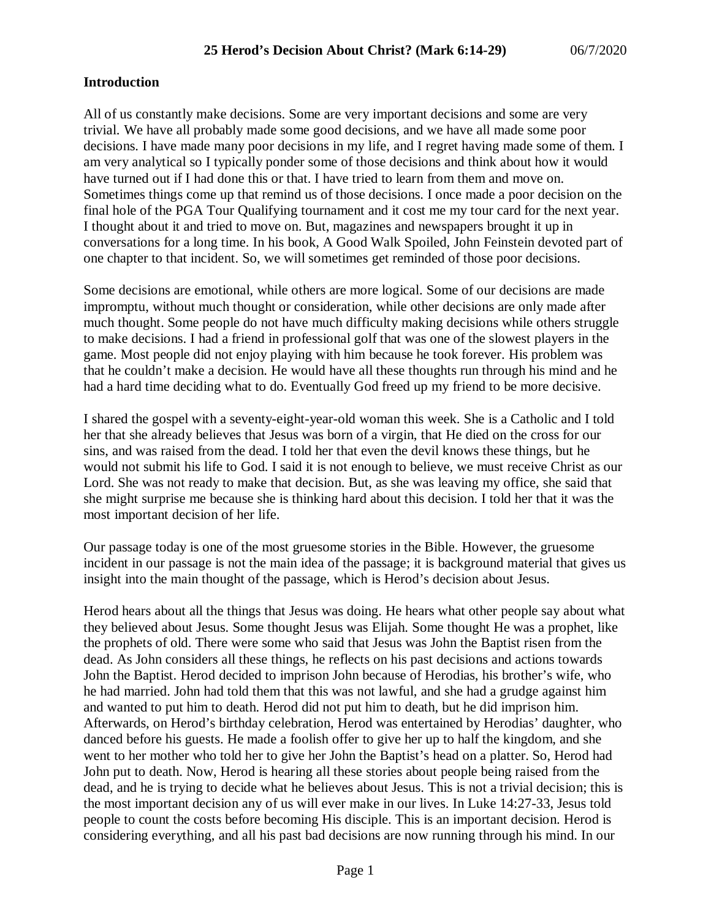#### **Introduction**

All of us constantly make decisions. Some are very important decisions and some are very trivial. We have all probably made some good decisions, and we have all made some poor decisions. I have made many poor decisions in my life, and I regret having made some of them. I am very analytical so I typically ponder some of those decisions and think about how it would have turned out if I had done this or that. I have tried to learn from them and move on. Sometimes things come up that remind us of those decisions. I once made a poor decision on the final hole of the PGA Tour Qualifying tournament and it cost me my tour card for the next year. I thought about it and tried to move on. But, magazines and newspapers brought it up in conversations for a long time. In his book, A Good Walk Spoiled, John Feinstein devoted part of one chapter to that incident. So, we will sometimes get reminded of those poor decisions.

Some decisions are emotional, while others are more logical. Some of our decisions are made impromptu, without much thought or consideration, while other decisions are only made after much thought. Some people do not have much difficulty making decisions while others struggle to make decisions. I had a friend in professional golf that was one of the slowest players in the game. Most people did not enjoy playing with him because he took forever. His problem was that he couldn't make a decision. He would have all these thoughts run through his mind and he had a hard time deciding what to do. Eventually God freed up my friend to be more decisive.

I shared the gospel with a seventy-eight-year-old woman this week. She is a Catholic and I told her that she already believes that Jesus was born of a virgin, that He died on the cross for our sins, and was raised from the dead. I told her that even the devil knows these things, but he would not submit his life to God. I said it is not enough to believe, we must receive Christ as our Lord. She was not ready to make that decision. But, as she was leaving my office, she said that she might surprise me because she is thinking hard about this decision. I told her that it was the most important decision of her life.

Our passage today is one of the most gruesome stories in the Bible. However, the gruesome incident in our passage is not the main idea of the passage; it is background material that gives us insight into the main thought of the passage, which is Herod's decision about Jesus.

Herod hears about all the things that Jesus was doing. He hears what other people say about what they believed about Jesus. Some thought Jesus was Elijah. Some thought He was a prophet, like the prophets of old. There were some who said that Jesus was John the Baptist risen from the dead. As John considers all these things, he reflects on his past decisions and actions towards John the Baptist. Herod decided to imprison John because of Herodias, his brother's wife, who he had married. John had told them that this was not lawful, and she had a grudge against him and wanted to put him to death. Herod did not put him to death, but he did imprison him. Afterwards, on Herod's birthday celebration, Herod was entertained by Herodias' daughter, who danced before his guests. He made a foolish offer to give her up to half the kingdom, and she went to her mother who told her to give her John the Baptist's head on a platter. So, Herod had John put to death. Now, Herod is hearing all these stories about people being raised from the dead, and he is trying to decide what he believes about Jesus. This is not a trivial decision; this is the most important decision any of us will ever make in our lives. In Luke 14:27-33, Jesus told people to count the costs before becoming His disciple. This is an important decision. Herod is considering everything, and all his past bad decisions are now running through his mind. In our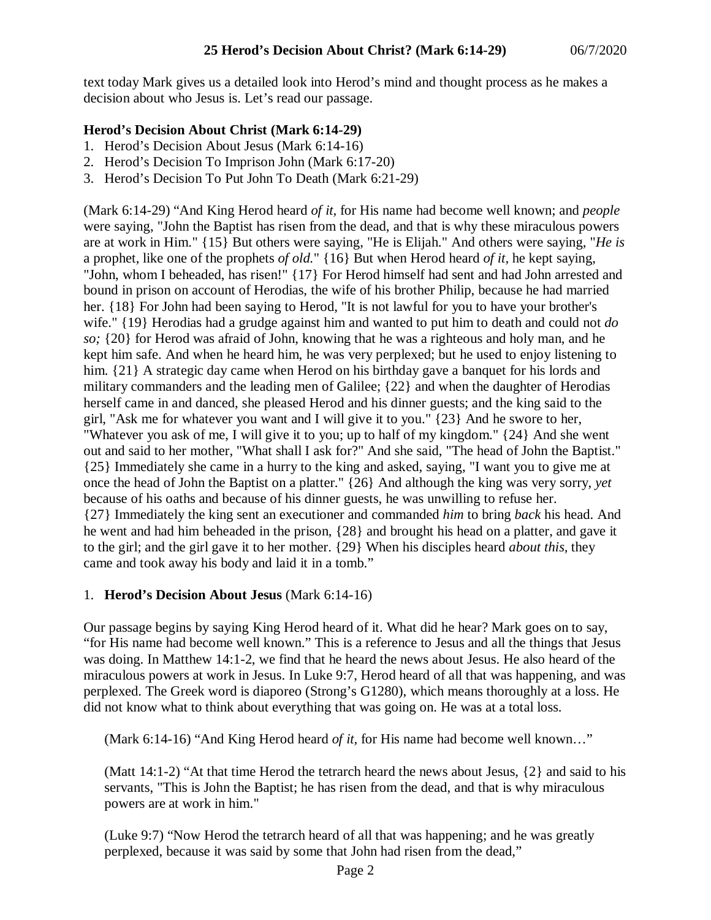text today Mark gives us a detailed look into Herod's mind and thought process as he makes a decision about who Jesus is. Let's read our passage.

# **Herod's Decision About Christ (Mark 6:14-29)**

- 1. Herod's Decision About Jesus (Mark 6:14-16)
- 2. Herod's Decision To Imprison John (Mark 6:17-20)
- 3. Herod's Decision To Put John To Death (Mark 6:21-29)

(Mark 6:14-29) "And King Herod heard *of it,* for His name had become well known; and *people* were saying, "John the Baptist has risen from the dead, and that is why these miraculous powers are at work in Him." {15} But others were saying, "He is Elijah." And others were saying, "*He is* a prophet, like one of the prophets *of old.*" {16} But when Herod heard *of it,* he kept saying, "John, whom I beheaded, has risen!" {17} For Herod himself had sent and had John arrested and bound in prison on account of Herodias, the wife of his brother Philip, because he had married her. {18} For John had been saying to Herod, "It is not lawful for you to have your brother's wife." {19} Herodias had a grudge against him and wanted to put him to death and could not *do so;* {20} for Herod was afraid of John, knowing that he was a righteous and holy man, and he kept him safe. And when he heard him, he was very perplexed; but he used to enjoy listening to him.  $\{21\}$  A strategic day came when Herod on his birthday gave a banquet for his lords and military commanders and the leading men of Galilee; {22} and when the daughter of Herodias herself came in and danced, she pleased Herod and his dinner guests; and the king said to the girl, "Ask me for whatever you want and I will give it to you." {23} And he swore to her, "Whatever you ask of me, I will give it to you; up to half of my kingdom." {24} And she went out and said to her mother, "What shall I ask for?" And she said, "The head of John the Baptist." {25} Immediately she came in a hurry to the king and asked, saying, "I want you to give me at once the head of John the Baptist on a platter." {26} And although the king was very sorry, *yet* because of his oaths and because of his dinner guests, he was unwilling to refuse her. {27} Immediately the king sent an executioner and commanded *him* to bring *back* his head. And he went and had him beheaded in the prison, {28} and brought his head on a platter, and gave it to the girl; and the girl gave it to her mother. {29} When his disciples heard *about this,* they came and took away his body and laid it in a tomb."

## 1. **Herod's Decision About Jesus** (Mark 6:14-16)

Our passage begins by saying King Herod heard of it. What did he hear? Mark goes on to say, "for His name had become well known." This is a reference to Jesus and all the things that Jesus was doing. In Matthew 14:1-2, we find that he heard the news about Jesus. He also heard of the miraculous powers at work in Jesus. In Luke 9:7, Herod heard of all that was happening, and was perplexed. The Greek word is diaporeo (Strong's G1280), which means thoroughly at a loss. He did not know what to think about everything that was going on. He was at a total loss.

(Mark 6:14-16) "And King Herod heard *of it,* for His name had become well known…"

(Matt 14:1-2) "At that time Herod the tetrarch heard the news about Jesus,  $\{2\}$  and said to his servants, "This is John the Baptist; he has risen from the dead, and that is why miraculous powers are at work in him."

(Luke 9:7) "Now Herod the tetrarch heard of all that was happening; and he was greatly perplexed, because it was said by some that John had risen from the dead,"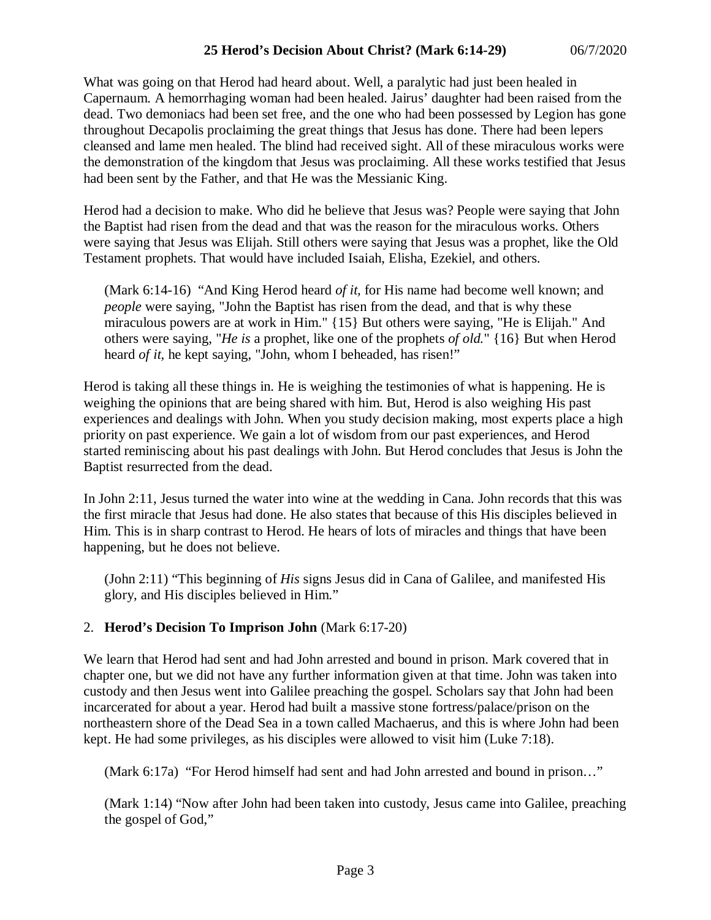What was going on that Herod had heard about. Well, a paralytic had just been healed in Capernaum. A hemorrhaging woman had been healed. Jairus' daughter had been raised from the dead. Two demoniacs had been set free, and the one who had been possessed by Legion has gone throughout Decapolis proclaiming the great things that Jesus has done. There had been lepers cleansed and lame men healed. The blind had received sight. All of these miraculous works were the demonstration of the kingdom that Jesus was proclaiming. All these works testified that Jesus had been sent by the Father, and that He was the Messianic King.

Herod had a decision to make. Who did he believe that Jesus was? People were saying that John the Baptist had risen from the dead and that was the reason for the miraculous works. Others were saying that Jesus was Elijah. Still others were saying that Jesus was a prophet, like the Old Testament prophets. That would have included Isaiah, Elisha, Ezekiel, and others.

(Mark 6:14-16) "And King Herod heard *of it,* for His name had become well known; and *people* were saying, "John the Baptist has risen from the dead, and that is why these miraculous powers are at work in Him." {15} But others were saying, "He is Elijah." And others were saying, "*He is* a prophet, like one of the prophets *of old.*" {16} But when Herod heard *of it,* he kept saying, "John, whom I beheaded, has risen!"

Herod is taking all these things in. He is weighing the testimonies of what is happening. He is weighing the opinions that are being shared with him. But, Herod is also weighing His past experiences and dealings with John. When you study decision making, most experts place a high priority on past experience. We gain a lot of wisdom from our past experiences, and Herod started reminiscing about his past dealings with John. But Herod concludes that Jesus is John the Baptist resurrected from the dead.

In John 2:11, Jesus turned the water into wine at the wedding in Cana. John records that this was the first miracle that Jesus had done. He also states that because of this His disciples believed in Him. This is in sharp contrast to Herod. He hears of lots of miracles and things that have been happening, but he does not believe.

(John 2:11) "This beginning of *His* signs Jesus did in Cana of Galilee, and manifested His glory, and His disciples believed in Him."

## 2. **Herod's Decision To Imprison John** (Mark 6:17-20)

We learn that Herod had sent and had John arrested and bound in prison. Mark covered that in chapter one, but we did not have any further information given at that time. John was taken into custody and then Jesus went into Galilee preaching the gospel. Scholars say that John had been incarcerated for about a year. Herod had built a massive stone fortress/palace/prison on the northeastern shore of the Dead Sea in a town called Machaerus, and this is where John had been kept. He had some privileges, as his disciples were allowed to visit him (Luke 7:18).

(Mark 6:17a) "For Herod himself had sent and had John arrested and bound in prison…"

(Mark 1:14) "Now after John had been taken into custody, Jesus came into Galilee, preaching the gospel of God,"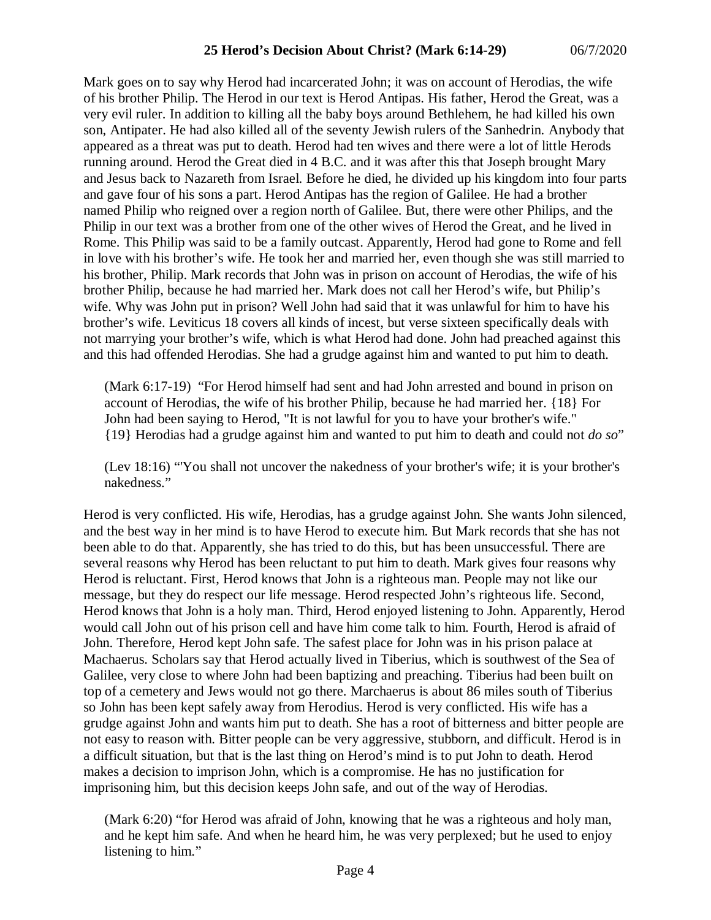Mark goes on to say why Herod had incarcerated John; it was on account of Herodias, the wife of his brother Philip. The Herod in our text is Herod Antipas. His father, Herod the Great, was a very evil ruler. In addition to killing all the baby boys around Bethlehem, he had killed his own son, Antipater. He had also killed all of the seventy Jewish rulers of the Sanhedrin. Anybody that appeared as a threat was put to death. Herod had ten wives and there were a lot of little Herods running around. Herod the Great died in 4 B.C. and it was after this that Joseph brought Mary and Jesus back to Nazareth from Israel. Before he died, he divided up his kingdom into four parts and gave four of his sons a part. Herod Antipas has the region of Galilee. He had a brother named Philip who reigned over a region north of Galilee. But, there were other Philips, and the Philip in our text was a brother from one of the other wives of Herod the Great, and he lived in Rome. This Philip was said to be a family outcast. Apparently, Herod had gone to Rome and fell in love with his brother's wife. He took her and married her, even though she was still married to his brother, Philip. Mark records that John was in prison on account of Herodias, the wife of his brother Philip, because he had married her. Mark does not call her Herod's wife, but Philip's wife. Why was John put in prison? Well John had said that it was unlawful for him to have his brother's wife. Leviticus 18 covers all kinds of incest, but verse sixteen specifically deals with not marrying your brother's wife, which is what Herod had done. John had preached against this and this had offended Herodias. She had a grudge against him and wanted to put him to death.

(Mark 6:17-19) "For Herod himself had sent and had John arrested and bound in prison on account of Herodias, the wife of his brother Philip, because he had married her. {18} For John had been saying to Herod, "It is not lawful for you to have your brother's wife." {19} Herodias had a grudge against him and wanted to put him to death and could not *do so*"

(Lev 18:16) "'You shall not uncover the nakedness of your brother's wife; it is your brother's nakedness."

Herod is very conflicted. His wife, Herodias, has a grudge against John. She wants John silenced, and the best way in her mind is to have Herod to execute him. But Mark records that she has not been able to do that. Apparently, she has tried to do this, but has been unsuccessful. There are several reasons why Herod has been reluctant to put him to death. Mark gives four reasons why Herod is reluctant. First, Herod knows that John is a righteous man. People may not like our message, but they do respect our life message. Herod respected John's righteous life. Second, Herod knows that John is a holy man. Third, Herod enjoyed listening to John. Apparently, Herod would call John out of his prison cell and have him come talk to him. Fourth, Herod is afraid of John. Therefore, Herod kept John safe. The safest place for John was in his prison palace at Machaerus. Scholars say that Herod actually lived in Tiberius, which is southwest of the Sea of Galilee, very close to where John had been baptizing and preaching. Tiberius had been built on top of a cemetery and Jews would not go there. Marchaerus is about 86 miles south of Tiberius so John has been kept safely away from Herodius. Herod is very conflicted. His wife has a grudge against John and wants him put to death. She has a root of bitterness and bitter people are not easy to reason with. Bitter people can be very aggressive, stubborn, and difficult. Herod is in a difficult situation, but that is the last thing on Herod's mind is to put John to death. Herod makes a decision to imprison John, which is a compromise. He has no justification for imprisoning him, but this decision keeps John safe, and out of the way of Herodias.

(Mark 6:20) "for Herod was afraid of John, knowing that he was a righteous and holy man, and he kept him safe. And when he heard him, he was very perplexed; but he used to enjoy listening to him."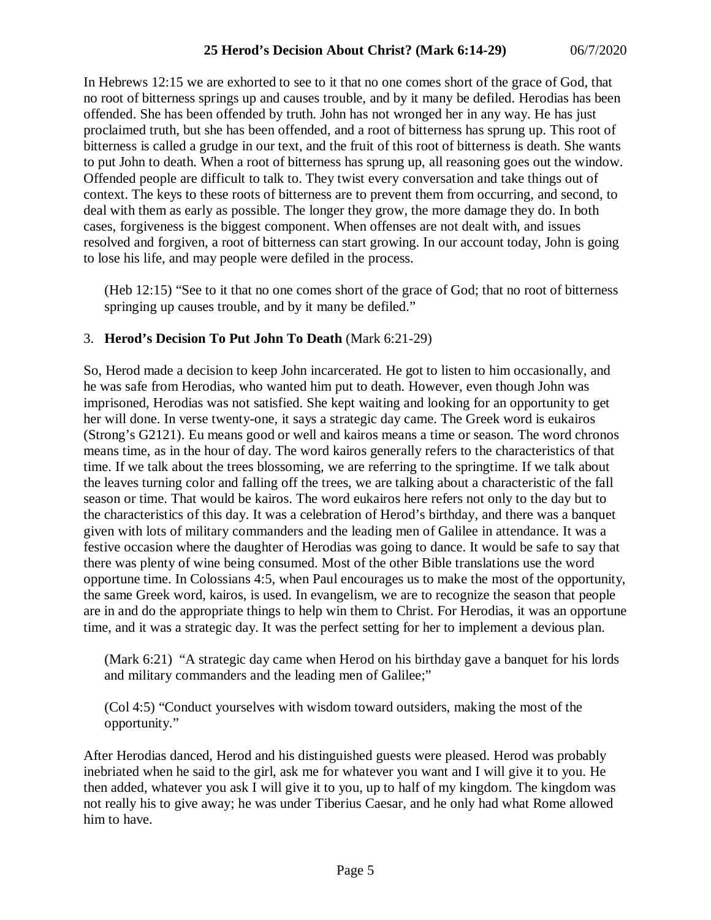In Hebrews 12:15 we are exhorted to see to it that no one comes short of the grace of God, that no root of bitterness springs up and causes trouble, and by it many be defiled. Herodias has been offended. She has been offended by truth. John has not wronged her in any way. He has just proclaimed truth, but she has been offended, and a root of bitterness has sprung up. This root of bitterness is called a grudge in our text, and the fruit of this root of bitterness is death. She wants to put John to death. When a root of bitterness has sprung up, all reasoning goes out the window. Offended people are difficult to talk to. They twist every conversation and take things out of context. The keys to these roots of bitterness are to prevent them from occurring, and second, to deal with them as early as possible. The longer they grow, the more damage they do. In both cases, forgiveness is the biggest component. When offenses are not dealt with, and issues resolved and forgiven, a root of bitterness can start growing. In our account today, John is going to lose his life, and may people were defiled in the process.

(Heb 12:15) "See to it that no one comes short of the grace of God; that no root of bitterness springing up causes trouble, and by it many be defiled."

### 3. **Herod's Decision To Put John To Death** (Mark 6:21-29)

So, Herod made a decision to keep John incarcerated. He got to listen to him occasionally, and he was safe from Herodias, who wanted him put to death. However, even though John was imprisoned, Herodias was not satisfied. She kept waiting and looking for an opportunity to get her will done. In verse twenty-one, it says a strategic day came. The Greek word is eukairos (Strong's G2121). Eu means good or well and kairos means a time or season. The word chronos means time, as in the hour of day. The word kairos generally refers to the characteristics of that time. If we talk about the trees blossoming, we are referring to the springtime. If we talk about the leaves turning color and falling off the trees, we are talking about a characteristic of the fall season or time. That would be kairos. The word eukairos here refers not only to the day but to the characteristics of this day. It was a celebration of Herod's birthday, and there was a banquet given with lots of military commanders and the leading men of Galilee in attendance. It was a festive occasion where the daughter of Herodias was going to dance. It would be safe to say that there was plenty of wine being consumed. Most of the other Bible translations use the word opportune time. In Colossians 4:5, when Paul encourages us to make the most of the opportunity, the same Greek word, kairos, is used. In evangelism, we are to recognize the season that people are in and do the appropriate things to help win them to Christ. For Herodias, it was an opportune time, and it was a strategic day. It was the perfect setting for her to implement a devious plan.

(Mark 6:21) "A strategic day came when Herod on his birthday gave a banquet for his lords and military commanders and the leading men of Galilee;"

(Col 4:5) "Conduct yourselves with wisdom toward outsiders, making the most of the opportunity."

After Herodias danced, Herod and his distinguished guests were pleased. Herod was probably inebriated when he said to the girl, ask me for whatever you want and I will give it to you. He then added, whatever you ask I will give it to you, up to half of my kingdom. The kingdom was not really his to give away; he was under Tiberius Caesar, and he only had what Rome allowed him to have.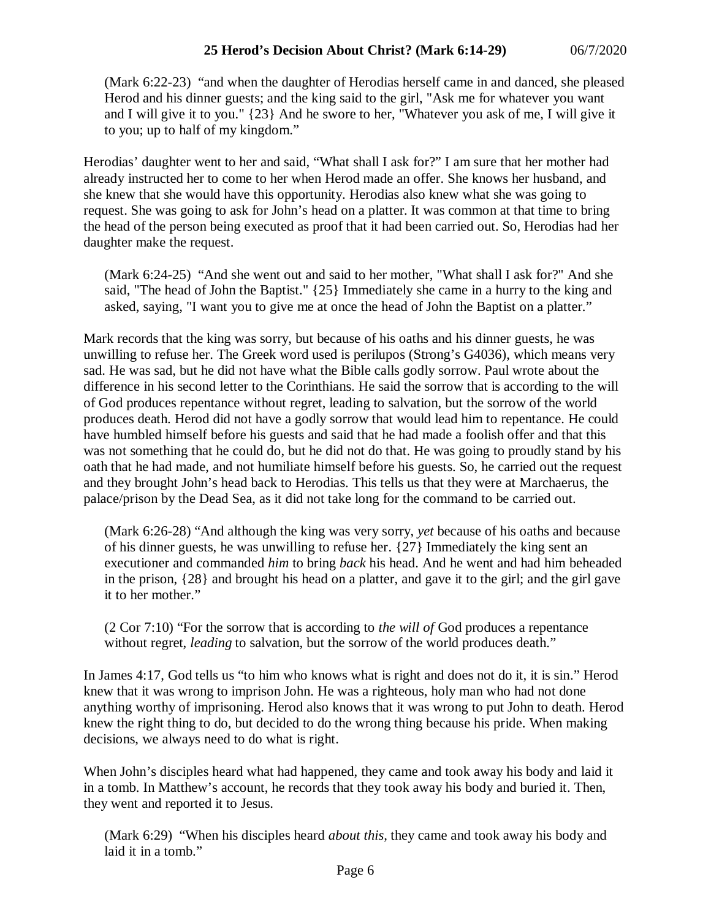(Mark 6:22-23) "and when the daughter of Herodias herself came in and danced, she pleased Herod and his dinner guests; and the king said to the girl, "Ask me for whatever you want and I will give it to you." {23} And he swore to her, "Whatever you ask of me, I will give it to you; up to half of my kingdom."

Herodias' daughter went to her and said, "What shall I ask for?" I am sure that her mother had already instructed her to come to her when Herod made an offer. She knows her husband, and she knew that she would have this opportunity. Herodias also knew what she was going to request. She was going to ask for John's head on a platter. It was common at that time to bring the head of the person being executed as proof that it had been carried out. So, Herodias had her daughter make the request.

(Mark 6:24-25) "And she went out and said to her mother, "What shall I ask for?" And she said, "The head of John the Baptist." {25} Immediately she came in a hurry to the king and asked, saying, "I want you to give me at once the head of John the Baptist on a platter."

Mark records that the king was sorry, but because of his oaths and his dinner guests, he was unwilling to refuse her. The Greek word used is perilupos (Strong's G4036), which means very sad. He was sad, but he did not have what the Bible calls godly sorrow. Paul wrote about the difference in his second letter to the Corinthians. He said the sorrow that is according to the will of God produces repentance without regret, leading to salvation, but the sorrow of the world produces death. Herod did not have a godly sorrow that would lead him to repentance. He could have humbled himself before his guests and said that he had made a foolish offer and that this was not something that he could do, but he did not do that. He was going to proudly stand by his oath that he had made, and not humiliate himself before his guests. So, he carried out the request and they brought John's head back to Herodias. This tells us that they were at Marchaerus, the palace/prison by the Dead Sea, as it did not take long for the command to be carried out.

(Mark 6:26-28) "And although the king was very sorry, *yet* because of his oaths and because of his dinner guests, he was unwilling to refuse her. {27} Immediately the king sent an executioner and commanded *him* to bring *back* his head. And he went and had him beheaded in the prison, {28} and brought his head on a platter, and gave it to the girl; and the girl gave it to her mother."

(2 Cor 7:10) "For the sorrow that is according to *the will of* God produces a repentance without regret, *leading* to salvation, but the sorrow of the world produces death."

In James 4:17, God tells us "to him who knows what is right and does not do it, it is sin." Herod knew that it was wrong to imprison John. He was a righteous, holy man who had not done anything worthy of imprisoning. Herod also knows that it was wrong to put John to death. Herod knew the right thing to do, but decided to do the wrong thing because his pride. When making decisions, we always need to do what is right.

When John's disciples heard what had happened, they came and took away his body and laid it in a tomb. In Matthew's account, he records that they took away his body and buried it. Then, they went and reported it to Jesus.

(Mark 6:29) "When his disciples heard *about this,* they came and took away his body and laid it in a tomb."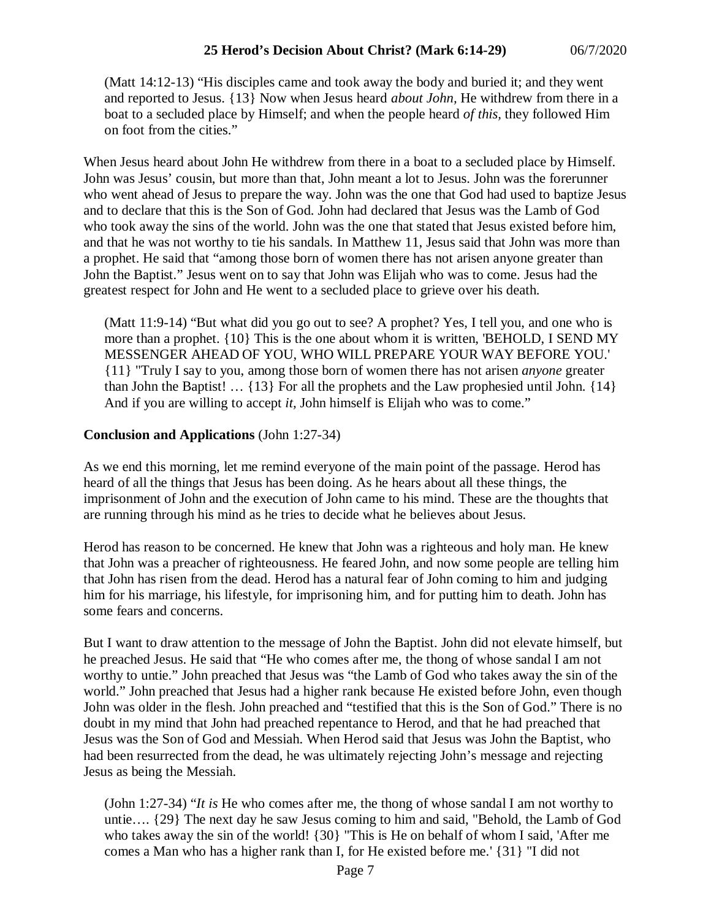(Matt 14:12-13) "His disciples came and took away the body and buried it; and they went and reported to Jesus. {13} Now when Jesus heard *about John,* He withdrew from there in a boat to a secluded place by Himself; and when the people heard *of this,* they followed Him on foot from the cities."

When Jesus heard about John He withdrew from there in a boat to a secluded place by Himself. John was Jesus' cousin, but more than that, John meant a lot to Jesus. John was the forerunner who went ahead of Jesus to prepare the way. John was the one that God had used to baptize Jesus and to declare that this is the Son of God. John had declared that Jesus was the Lamb of God who took away the sins of the world. John was the one that stated that Jesus existed before him, and that he was not worthy to tie his sandals. In Matthew 11, Jesus said that John was more than a prophet. He said that "among those born of women there has not arisen anyone greater than John the Baptist." Jesus went on to say that John was Elijah who was to come. Jesus had the greatest respect for John and He went to a secluded place to grieve over his death.

(Matt 11:9-14) "But what did you go out to see? A prophet? Yes, I tell you, and one who is more than a prophet. {10} This is the one about whom it is written, 'BEHOLD, I SEND MY MESSENGER AHEAD OF YOU, WHO WILL PREPARE YOUR WAY BEFORE YOU.' {11} "Truly I say to you, among those born of women there has not arisen *anyone* greater than John the Baptist!  $\ldots$  {13} For all the prophets and the Law prophesied until John. {14} And if you are willing to accept *it*, John himself is Elijah who was to come."

### **Conclusion and Applications** (John 1:27-34)

As we end this morning, let me remind everyone of the main point of the passage. Herod has heard of all the things that Jesus has been doing. As he hears about all these things, the imprisonment of John and the execution of John came to his mind. These are the thoughts that are running through his mind as he tries to decide what he believes about Jesus.

Herod has reason to be concerned. He knew that John was a righteous and holy man. He knew that John was a preacher of righteousness. He feared John, and now some people are telling him that John has risen from the dead. Herod has a natural fear of John coming to him and judging him for his marriage, his lifestyle, for imprisoning him, and for putting him to death. John has some fears and concerns.

But I want to draw attention to the message of John the Baptist. John did not elevate himself, but he preached Jesus. He said that "He who comes after me, the thong of whose sandal I am not worthy to untie." John preached that Jesus was "the Lamb of God who takes away the sin of the world." John preached that Jesus had a higher rank because He existed before John, even though John was older in the flesh. John preached and "testified that this is the Son of God." There is no doubt in my mind that John had preached repentance to Herod, and that he had preached that Jesus was the Son of God and Messiah. When Herod said that Jesus was John the Baptist, who had been resurrected from the dead, he was ultimately rejecting John's message and rejecting Jesus as being the Messiah.

(John 1:27-34) "*It is* He who comes after me, the thong of whose sandal I am not worthy to untie…. {29} The next day he saw Jesus coming to him and said, "Behold, the Lamb of God who takes away the sin of the world! {30} "This is He on behalf of whom I said, 'After me comes a Man who has a higher rank than I, for He existed before me.' {31} "I did not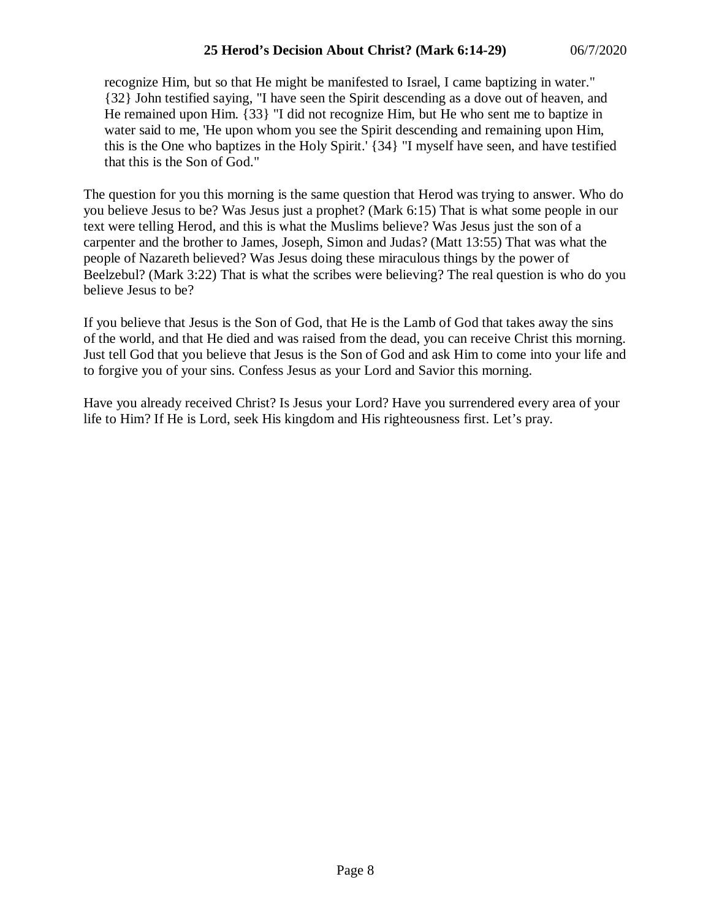recognize Him, but so that He might be manifested to Israel, I came baptizing in water." {32} John testified saying, "I have seen the Spirit descending as a dove out of heaven, and He remained upon Him. {33} "I did not recognize Him, but He who sent me to baptize in water said to me, 'He upon whom you see the Spirit descending and remaining upon Him, this is the One who baptizes in the Holy Spirit.' {34} "I myself have seen, and have testified that this is the Son of God."

The question for you this morning is the same question that Herod was trying to answer. Who do you believe Jesus to be? Was Jesus just a prophet? (Mark 6:15) That is what some people in our text were telling Herod, and this is what the Muslims believe? Was Jesus just the son of a carpenter and the brother to James, Joseph, Simon and Judas? (Matt 13:55) That was what the people of Nazareth believed? Was Jesus doing these miraculous things by the power of Beelzebul? (Mark 3:22) That is what the scribes were believing? The real question is who do you believe Jesus to be?

If you believe that Jesus is the Son of God, that He is the Lamb of God that takes away the sins of the world, and that He died and was raised from the dead, you can receive Christ this morning. Just tell God that you believe that Jesus is the Son of God and ask Him to come into your life and to forgive you of your sins. Confess Jesus as your Lord and Savior this morning.

Have you already received Christ? Is Jesus your Lord? Have you surrendered every area of your life to Him? If He is Lord, seek His kingdom and His righteousness first. Let's pray.